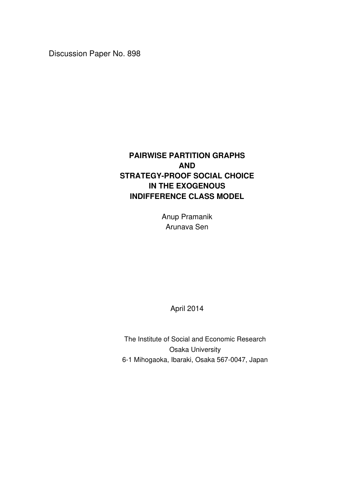Discussion Paper No. 898

# **PAIRWISE PARTITION GRAPHS AND STRATEGY-PROOF SOCIAL CHOICE IN THE EXOGENOUS INDIFFERENCE CLASS MODEL**

Anup Pramanik Arunava Sen

April 2014

The Institute of Social and Economic Research Osaka University 6-1 Mihogaoka, Ibaraki, Osaka 567-0047, Japan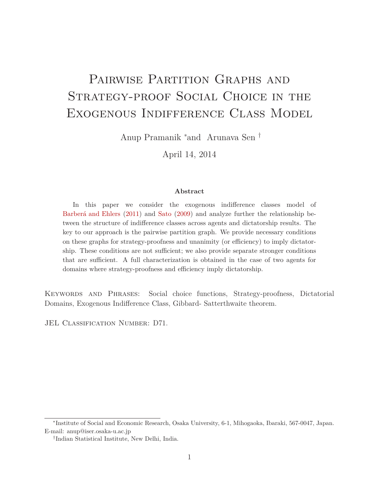# PAIRWISE PARTITION GRAPHS AND Strategy-proof Social Choice in the Exogenous Indifference Class Model

Anup Pramanik <sup>∗</sup>and Arunava Sen †

April 14, 2014

#### **Abstract**

In this paper we consider the exogenous indifference classes model of Barberá and Ehlers (2011) and Sato (2009) and analyze further the relationship between the structure of indifference classes across agents and dictatorship results. The key to our approach is the pairwise partition graph. We provide necessary conditions on these graphs for strategy-proofness and unanimity (or efficiency) to imply dictatorship. These conditions are not sufficient; we also provide separate stronger conditions that are sufficient. A full characterization is obtained in the case of two agents for domains where strategy-proofness and efficiency imply dictatorship.

Keywords and Phrases: Social choice functions, Strategy-proofness, Dictatorial Domains, Exogenous Indifference Class, Gibbard- Satterthwaite theorem.

JEL CLASSIFICATION NUMBER: D71.

<sup>∗</sup> Institute of Social and Economic Research, Osaka University, 6-1, Mihogaoka, Ibaraki, 567-0047, Japan. E-mail: anup@iser.osaka-u.ac.jp

<sup>†</sup> Indian Statistical Institute, New Delhi, India.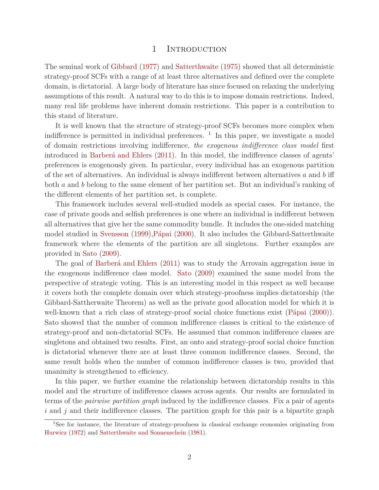#### 1 INTRODUCTION

The seminal work of Gibbard (1977) and Satterthwaite (1975) showed that all deterministic strategy-proof SCFs with a range of at least three alternatives and defined over the complete domain, is dictatorial. A large body of literature has since focused on relaxing the underlying assumptions of this result. A natural way to do this is to impose domain restrictions. Indeed, many real life problems have inherent domain restrictions. This paper is a contribution to this stand of literature.

It is well known that the structure of strategy-proof SCFs becomes more complex when indifference is permitted in individual preferences. <sup>1</sup> In this paper, we investigate a model of domain restrictions involving indifference, *the exogenous indifference class model* first introduced in Barberá and Ehlers (2011). In this model, the indifference classes of agents' preferences is exogenously given. In particular, every individual has an exogenous partition of the set of alternatives. An individual is always indifferent between alternatives *a* and *b* iff both *a* and *b* belong to the same element of her partition set. But an individual's ranking of the different elements of her partition set, is complete.

This framework includes several well-studied models as special cases. For instance, the case of private goods and selfish preferences is one where an individual is indifferent between all alternatives that give her the same commodity bundle. It includes the one-sided matching model studied in Svensson (1999),Pápai (2000). It also includes the Gibbard-Satterthwaite framework where the elements of the partition are all singletons. Further examples are provided in Sato (2009).

The goal of Barberá and Ehlers (2011) was to study the Arrovain aggregation issue in the exogenous indifference class model. Sato (2009) examined the same model from the perspective of strategic voting. This is an interesting model in this respect as well because it covers both the complete domain over which strategy-proofness implies dictatorship (the Gibbard-Sattherwaite Theorem) as well as the private good allocation model for which it is well-known that a rich class of strategy-proof social choice functions exist (Pápai  $(2000)$ ). Sato showed that the number of common indifference classes is critical to the existence of strategy-proof and non-dictatorial SCFs. He assumed that common indifference classes are singletons and obtained two results. First, an onto and strategy-proof social choice function is dictatorial whenever there are at least three common indifference classes. Second, the same result holds when the number of common indifference classes is two, provided that unanimity is strengthened to efficiency.

In this paper, we further examine the relationship between dictatorship results in this model and the structure of indifference classes across agents. Our results are formulated in terms of the *pairwise partition graph* induced by the indifference classes. Fix a pair of agents *i* and *j* and their indifference classes. The partition graph for this pair is a bipartite graph

<sup>&</sup>lt;sup>1</sup>See for instance, the literature of strategy-proofness in classical exchange economies originating from Hurwicz (1972) and Satterthwaite and Sonnenschein (1981).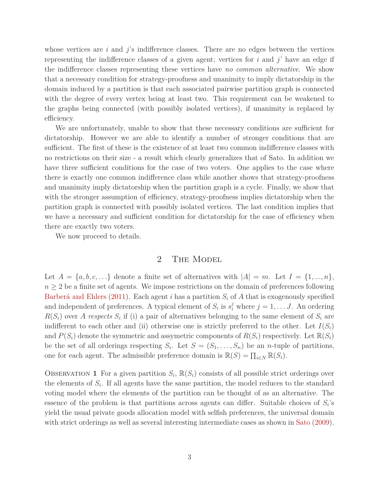whose vertices are *i* and *j*'s indifference classes. There are no edges between the vertices representing the indifference classes of a given agent; vertices for *i* and *j*' have an edge if the indifference classes representing these vertices have *no common alternative*. We show that a necessary condition for strategy-proofness and unanimity to imply dictatorship in the domain induced by a partition is that each associated pairwise partition graph is connected with the degree of every vertex being at least two. This requirement can be weakened to the graphs being connected (with possibly isolated vertices), if unanimity is replaced by efficiency.

We are unfortunately, unable to show that these necessary conditions are sufficient for dictatorship. However we are able to identify a number of stronger conditions that are sufficient. The first of these is the existence of at least two common indifference classes with no restrictions on their size - a result which clearly generalizes that of Sato. In addition we have three sufficient conditions for the case of two voters. One applies to the case where there is exactly one common indifference class while another shows that strategy-proofness and unanimity imply dictatorship when the partition graph is a cycle. Finally, we show that with the stronger assumption of efficiency, strategy-proofness implies dictatorship when the partition graph is connected with possibly isolated vertices. The last condition implies that we have a necessary and sufficient condition for dictatorship for the case of efficiency when there are exactly two voters.

We now proceed to details.

### 2 THE MODEL

Let  $A = \{a, b, c, \ldots\}$  denote a finite set of alternatives with  $|A| = m$ . Let  $I = \{1, ..., n\}$ ,  $n \geq 2$  be a finite set of agents. We impose restrictions on the domain of preferences following Barberá and Ehlers (2011). Each agent *i* has a partition *S<sup>i</sup>* of *A* that is exogenously specified and independent of preferences. A typical element of  $S_i$  is  $s_i^j$  where  $j = 1, \ldots, J$ . An ordering  $R(S_i)$  over *A respects*  $S_i$  if (i) a pair of alternatives belonging to the same element of  $S_i$  are indifferent to each other and (ii) otherwise one is strictly preferred to the other. Let  $I(S_i)$ and  $P(S_i)$  denote the symmetric and assymetric components of  $R(S_i)$  respectively. Let  $\mathbb{R}(S_i)$ be the set of all orderings respecting  $S_i$ . Let  $S = (S_1, \ldots, S_n)$  be an *n*-tuple of partitions, one for each agent. The admissible preference domain is  $\mathbb{R}(S) = \prod_{i \in N} \mathbb{R}(S_i)$ .

OBSERVATION 1 For a given partition  $S_i$ ,  $\mathbb{R}(S_i)$  consists of all possible strict orderings over the elements of  $S_i$ . If all agents have the same partition, the model reduces to the standard voting model where the elements of the partition can be thought of as an alternative. The essence of the problem is that partitions across agents can differ. Suitable choices of  $S_i$ 's yield the usual private goods allocation model with selfish preferences, the universal domain with strict orderings as well as several interesting intermediate cases as shown in Sato (2009).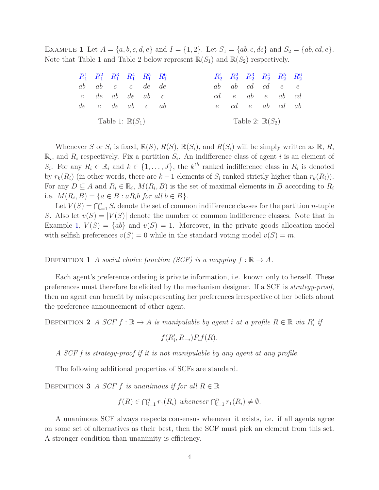EXAMPLE 1 Let  $A = \{a, b, c, d, e\}$  and  $I = \{1, 2\}$ . Let  $S_1 = \{ab, c, de\}$  and  $S_2 = \{ab, cd, e\}$ . Note that Table 1 and Table 2 below represent  $\mathbb{R}(S_1)$  and  $\mathbb{R}(S_2)$  respectively.

| $R_1^1$ $R_1^2$ $R_1^3$ $R_1^4$ $R_1^5$ $R_1^6$ |                            |  |  | $R_2^1$ $R_2^2$ $R_2^3$ $R_2^4$ $R_2^5$ $R_2^6$ |  |  |
|-------------------------------------------------|----------------------------|--|--|-------------------------------------------------|--|--|
| $ab$ $ab$ $c$ $c$ $de$ $de$                     |                            |  |  | $ab$ $ab$ $cd$ $cd$ $e$ $e$                     |  |  |
| $c$ de ab de ab $c$                             |                            |  |  | $cd \quad e \quad ab \quad e \quad ab \quad cd$ |  |  |
| $de$ c $de$ ab c $ab$                           |                            |  |  | e cd e ab cd ab                                 |  |  |
|                                                 | Table 1: $\mathbb{R}(S_1)$ |  |  | Table 2: $\mathbb{R}(S_2)$                      |  |  |

Whenever *S* or  $S_i$  is fixed,  $\mathbb{R}(S)$ ,  $R(S)$ ,  $\mathbb{R}(S_i)$ , and  $R(S_i)$  will be simply written as  $\mathbb{R}$ ,  $R$ ,  $\mathbb{R}_i$ , and  $R_i$  respectively. Fix a partition  $S_i$ . An indifference class of agent *i* is an element of S<sub>*i*</sub>. For any  $R_i \in \mathbb{R}_i$  and  $k \in \{1, ..., J\}$ , the  $k^{th}$  ranked indifference class in  $R_i$  is denoted by  $r_k(R_i)$  (in other words, there are  $k-1$  elements of  $S_i$  ranked strictly higher than  $r_k(R_i)$ ). For any  $D \subseteq A$  and  $R_i \in \mathbb{R}_i$ ,  $M(R_i, B)$  is the set of maximal elements in *B* according to  $R_i$ i.e.  $M(R_i, B) = \{a \in B : aR_i b \text{ for all } b \in B\}.$ 

Let  $V(S) = \bigcap_{i=1}^n S_i$  denote the set of common indifference classes for the partition *n*-tuple *S*. Also let  $v(S) = |V(S)|$  denote the number of common indifference classes. Note that in Example 1,  $V(S) = \{ab\}$  and  $v(S) = 1$ . Moreover, in the private goods allocation model with selfish preferences  $v(S) = 0$  while in the standard voting model  $v(S) = m$ .

DEFINITION **1** *A* social choice function (SCF) is a mapping  $f : \mathbb{R} \to A$ .

Each agent's preference ordering is private information, i.e. known only to herself. These preferences must therefore be elicited by the mechanism designer. If a SCF is *strategy-proof*, then no agent can benefit by misrepresenting her preferences irrespective of her beliefs about the preference announcement of other agent.

DEFINITION 2 *A SCF*  $f : \mathbb{R} \to A$  *is manipulable by agent i at a profile*  $R \in \mathbb{R}$  *via*  $R'_i$  *if* 

$$
f(R'_i, R_{-i})P_i f(R).
$$

*A SCF f is strategy-proof if it is not manipulable by any agent at any profile.*

The following additional properties of SCFs are standard.

DEFINITION **3** *A SCF f is unanimous if for all*  $R \in \mathbb{R}$ 

$$
f(R) \in \bigcap_{i=1}^n r_1(R_i)
$$
 whenever  $\bigcap_{i=1}^n r_1(R_i) \neq \emptyset$ .

A unanimous SCF always respects consensus whenever it exists, i.e. if all agents agree on some set of alternatives as their best, then the SCF must pick an element from this set. A stronger condition than unanimity is efficiency.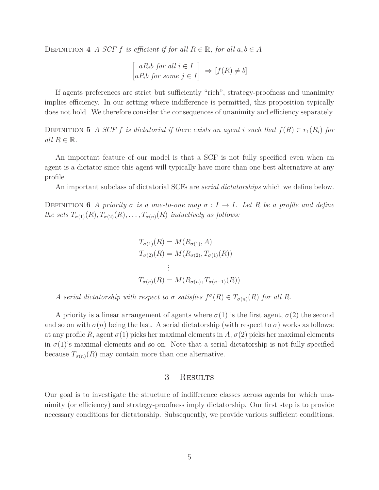DEFINITION 4 *A SCF f is efficient if for all*  $R \in \mathbb{R}$ *, for all*  $a, b \in A$ 

$$
\begin{bmatrix} aR_i b \text{ for all } i \in I \\ aP_i b \text{ for some } j \in I \end{bmatrix} \Rightarrow [f(R) \neq b]
$$

If agents preferences are strict but sufficiently "rich", strategy-proofness and unanimity implies efficiency. In our setting where indifference is permitted, this proposition typically does not hold. We therefore consider the consequences of unanimity and efficiency separately.

DEFINITION 5 *A SCF f is dictatorial if there exists an agent <i>i* such that  $f(R) \in r_1(R_i)$  for *all*  $R \in \mathbb{R}$ *.* 

An important feature of our model is that a SCF is not fully specified even when an agent is a dictator since this agent will typically have more than one best alternative at any profile.

An important subclass of dictatorial SCFs are *serial dictatorships* which we define below.

Definition **6** *A priority σ is a one-to-one map σ* : *I* → *I. Let R be a profile and define the sets*  $T_{\sigma(1)}(R), T_{\sigma(2)}(R), \ldots, T_{\sigma(n)}(R)$  *inductively as follows:* 

$$
T_{\sigma(1)}(R) = M(R_{\sigma(1)}, A)
$$
  
\n
$$
T_{\sigma(2)}(R) = M(R_{\sigma(2)}, T_{\sigma(1)}(R))
$$
  
\n
$$
\vdots
$$
  
\n
$$
T_{\sigma(n)}(R) = M(R_{\sigma(n)}, T_{\sigma(n-1)}(R))
$$

*A* serial dictatorship with respect to  $\sigma$  satisfies  $f^{\sigma}(R) \in T_{\sigma(n)}(R)$  for all R.

A priority is a linear arrangement of agents where  $\sigma(1)$  is the first agent,  $\sigma(2)$  the second and so on with  $\sigma(n)$  being the last. A serial dictatorship (with respect to  $\sigma$ ) works as follows: at any profile R, agent  $\sigma(1)$  picks her maximal elements in A,  $\sigma(2)$  picks her maximal elements in  $\sigma(1)$ 's maximal elements and so on. Note that a serial dictatorship is not fully specified because  $T_{\sigma(n)}(R)$  may contain more than one alternative.

#### 3 RESULTS

Our goal is to investigate the structure of indifference classes across agents for which unanimity (or efficiency) and strategy-proofness imply dictatorship. Our first step is to provide necessary conditions for dictatorship. Subsequently, we provide various sufficient conditions.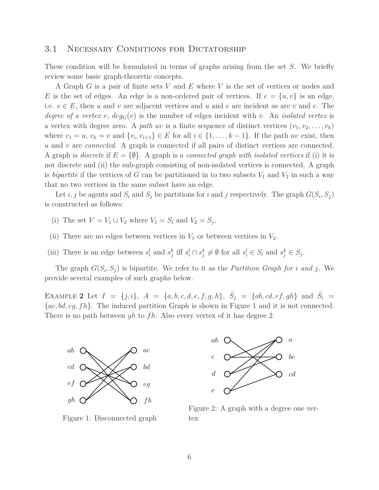#### 3.1 NECESSARY CONDITIONS FOR DICTATORSHIP

These condition will be formulated in terms of graphs arising from the set *S*. We briefly review some basic graph-theoretic concepts.

A Graph *G* is a pair of finite sets *V* and *E* where *V* is the set of vertices or nodes and *E* is the set of edges. An edge is a non-ordered pair of vertices. If  $e = \{u, v\}$  is an edge, i.e.  $e \in E$ , then *u* and *v* are adjacent vertices and *u* and *e* are incident as are *v* and *e*. The *degree of a vertex v*,  $deg_G(v)$  is the number of edges incident with *v*. An *isolated vertex* is a vertex with degree zero. A *path uv* is a finite sequence of distinct vertices  $(v_1, v_2, \ldots, v_k)$ where  $v_1 = u$ ,  $v_k = v$  and  $\{v_i, v_{i+1}\} \in E$  for all  $i \in \{1, \ldots, k-1\}$ . If the path *uv* exist, then *u* and *v* are *connected*. A graph is connected if all pairs of distinct vertices are connected. A graph is *discrete* if  $E = \{\emptyset\}$ . A graph is a *connected graph with isolated vertices* if (i) it is not discrete and (ii) the sub-graph consisting of non-isolated vertices is connected. A graph is *bipartite* if the vertices of *G* can be partitioned in to two subsets  $V_1$  and  $V_2$  in such a way that no two vertices in the same subset have an edge.

Let *i*, *j* be agents and  $S_i$  and  $S_j$  be partitions for *i* and *j* respectively. The graph  $G(S_i, S_j)$ is constructed as follows:

- (i) The set  $V = V_1 \cup V_2$  where  $V_1 = S_i$  and  $V_2 = S_j$ .
- (ii) There are no edges between vertices in  $V_1$  or between vertices in  $V_2$ .
- (iii) There is an edge between  $s_i^l$  and  $s_j^k$  iff  $s_i^l \cap s_j^k \neq \emptyset$  for all  $s_i^l \in S_i$  and  $s_j^k \in S_j$ .

The graph  $G(S_i, S_j)$  is bipartite. We refer to it as the *Partition Graph for i* and *j*. We provide several examples of such graphs below.

EXAMPLE 2 Let  $I = \{j, i\}$ ,  $A = \{a, b, c, d, e, f, g, h\}$ ,  $\overline{S}_j = \{ab, cd, ef, gh\}$  and  $\overline{S}_i = \{ab, cd, ef, gh\}$ {*ac, bd, eg, fh*}. The induced partition Graph is shown in Figure 1 and it is not connected. There is no path between *gh* to *fh*. Also every vertex of it has degree 2.



Figure 1: Disconnected graph



Figure 2: A graph with a degree one vertex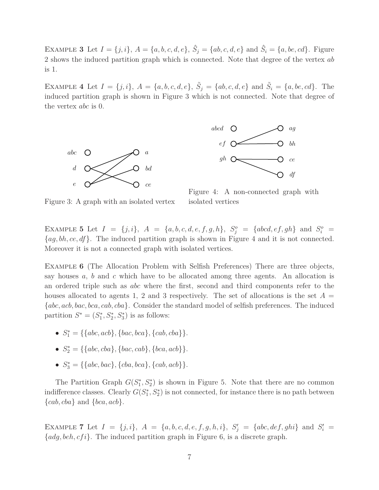EXAMPLE 3 Let  $I = \{j, i\}$ ,  $A = \{a, b, c, d, e\}$ ,  $\hat{S}_j = \{ab, c, d, e\}$  and  $\hat{S}_i = \{a, be, cd\}$ . Figure 2 shows the induced partition graph which is connected. Note that degree of the vertex *ab* is 1.

EXAMPLE 4 Let  $I = \{j, i\}$ ,  $A = \{a, b, c, d, e\}$ ,  $\tilde{S}_j = \{ab, c, d, e\}$  and  $\tilde{S}_i = \{a, be, cd\}$ . The induced partition graph is shown in Figure 3 which is not connected. Note that degree of the vertex *abc* is 0.





Figure 4: A non-connected graph with isolated vertices

Figure 3: A graph with an isolated vertex

EXAMPLE 5 Let  $I = \{j, i\}$ ,  $A = \{a, b, c, d, e, f, g, h\}$ ,  $S_j^o = \{abcd, ef, gh\}$  and  $S_i^o =$ {*ag, bh, ce, df*}. The induced partition graph is shown in Figure 4 and it is not connected. Moreover it is not a connected graph with isolated vertices.

EXAMPLE **6** (The Allocation Problem with Selfish Preferences) There are three objects, say houses *a*, *b* and *c* which have to be allocated among three agents. An allocation is an ordered triple such as *abc* where the first, second and third components refer to the houses allocated to agents 1, 2 and 3 respectively. The set of allocations is the set  $A =$ {*abc, acb, bac, bca, cab, cba*}. Consider the standard model of selfish preferences. The induced partition  $S^* = (S_1^*$  $j_1^*, S_2^*, S_3^*$  is as follows:

- $S_1^* = \{\{abc,acb\}, \{bac, bca\}, \{cab, cba\}\}.$
- $S_2^* = \{\{abc, cba\}, \{bac, cab\}, \{bca, acb\}\}.$
- $S_3^* = \{\{abc, bac\}, \{cba, bca\}, \{cab, acb\}\}.$

The Partition Graph  $G(S_1^*)$  $j_1^*, S_2^*$  is shown in Figure 5. Note that there are no common indifference classes. Clearly  $G(S_1^*)$  $\binom{*}{1}, S_2^*$  is not connected, for instance there is no path between {*cab, cba*} and {*bca, acb*}.

EXAMPLE 7 Let  $I = \{j, i\}$ ,  $A = \{a, b, c, d, e, f, g, h, i\}$ ,  $S'_j = \{abc, def, ghi\}$  and  $S'_i =$ {*adg, beh, cf i*}. The induced partition graph in Figure 6, is a discrete graph.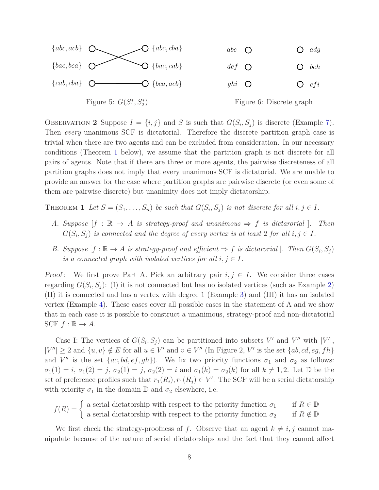

OBSERVATION 2 Suppose  $I = \{i, j\}$  and *S* is such that  $G(S_i, S_j)$  is discrete (Example 7). Then *every* unanimous SCF is dictatorial. Therefore the discrete partition graph case is trivial when there are two agents and can be excluded from consideration. In our necessary conditions (Theorem 1 below), we assume that the partition graph is not discrete for all pairs of agents. Note that if there are three or more agents, the pairwise discreteness of all partition graphs does not imply that every unanimous SCF is dictatorial. We are unable to provide an answer for the case where partition graphs are pairwise discrete (or even some of them are pairwise discrete) but unanimity does not imply dictatorship.

THEOREM 1 Let  $S = (S_1, \ldots, S_n)$  be such that  $G(S_i, S_j)$  is not discrete for all  $i, j \in I$ .

- *A. Suppose*  $[f : \mathbb{R} \to A$  *is strategy-proof and unanimous*  $\Rightarrow f$  *is dictarorial* ]. Then  $G(S_i, S_j)$  is connected and the degree of every vertex is at least 2 for all  $i, j \in I$ .
- *B.* Suppose  $[f : \mathbb{R} \to A \text{ is strategy-proof and efficient } \Rightarrow f \text{ is dictarorial}.$  Then  $G(S_i, S_j)$ *is a connected graph with isolated vertices for all*  $i, j \in I$ *.*

Proof: We first prove Part A. Pick an arbitrary pair  $i, j \in I$ . We consider three cases regarding  $G(S_i, S_j)$ : (I) it is not connected but has no isolated vertices (such as Example 2) (II) it is connected and has a vertex with degree 1 (Example 3) and (III) it has an isolated vertex (Example 4). These cases cover all possible cases in the statement of A and we show that in each case it is possible to construct a unanimous, strategy-proof and non-dictatorial  $SCF f : \mathbb{R} \to A$ .

Case I: The vertices of  $G(S_i, S_j)$  can be partitioned into subsets  $V'$  and  $V''$  with  $|V'|$ ,  $|V''| \geq 2$  and  $\{u, v\} \notin E$  for all  $u \in V'$  and  $v \in V''$  (In Figure 2, V' is the set  $\{ab, cd, eg, fh\}$ and *V*<sup>*n*</sup> is the set  $\{ac, bd, ef, gh\}$ ). We fix two priority functions  $\sigma_1$  and  $\sigma_2$  as follows:  $\sigma_1(1) = i$ ,  $\sigma_1(2) = j$ ,  $\sigma_2(1) = j$ ,  $\sigma_2(2) = i$  and  $\sigma_1(k) = \sigma_2(k)$  for all  $k \neq 1, 2$ . Let  $\mathbb D$  be the set of preference profiles such that  $r_1(R_i), r_1(R_j) \in V'$ . The SCF will be a serial dictatorship with priority  $\sigma_1$  in the domain  $\mathbb D$  and  $\sigma_2$  elsewhere, i.e.

 $f(R) = \begin{cases} \n\end{cases}$  a serial dictatorship with respect to the priority function  $\sigma_1$  if  $R \in \mathbb{D}$ a serial dictatorship with respect to the priority function  $\sigma_2$  if  $R \notin \mathbb{D}$ 

We first check the strategy-proofness of *f*. Observe that an agent  $k \neq i, j$  cannot manipulate because of the nature of serial dictatorships and the fact that they cannot affect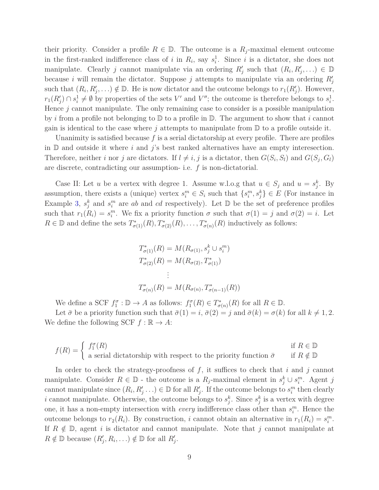their priority. Consider a profile  $R \in \mathbb{D}$ . The outcome is a  $R_i$ -maximal element outcome in the first-ranked indifference class of *i* in  $R_i$ , say  $s_i^1$ . Since *i* is a dictator, she does not manipulate. Clearly *j* cannot manipulate via an ordering  $R'_{j}$  such that  $(R_i, R'_{j}, ...) \in \mathbb{D}$ because *i* will remain the dictator. Suppose *j* attempts to manipulate via an ordering  $R'_{j}$ such that  $(R_i, R'_j, \ldots) \notin \mathbb{D}$ . He is now dictator and the outcome belongs to  $r_1(R'_j)$ . However,  $r_1(R'_j) \cap s_i^1 \neq \emptyset$  by properties of the sets *V*' and *V*<sup>"</sup>; the outcome is therefore belongs to  $s_i^1$ . Hence *j* cannot manipulate. The only remaining case to consider is a possible manipulation by *i* from a profile not belonging to D to a profile in D. The argument to show that *i* cannot gain is identical to the case where *j* attempts to manipulate from D to a profile outside it.

Unanimity is satisfied because *f* is a serial dictatorship at every profile. There are profiles in D and outside it where *i* and *j*'s best ranked alternatives have an empty interesection. Therefore, neither *i* nor *j* are dictators. If  $l \neq i, j$  is a dictator, then  $G(S_i, S_l)$  and  $G(S_j, G_l)$ are discrete, contradicting our assumption- i.e. *f* is non-dictatorial.

Case II: Let *u* be a vertex with degree 1. Assume w.l.o.g that  $u \in S_j$  and  $u = s_j^k$ . By assumption, there exists a (unique) vertex  $s_i^m \in S_i$  such that  $\{s_i^m, s_j^k\} \in E$  (For instance in Example 3,  $s_j^k$  and  $s_i^m$  are *ab* and *cd* respectively). Let D be the set of preference profiles such that  $r_1(R_i) = s_i^m$ . We fix a priority function  $\sigma$  such that  $\sigma(1) = j$  and  $\sigma(2) = i$ . Let  $R \in \mathbb{D}$  and define the sets  $T^*_{\sigma(1)}(R), T^*_{\sigma(2)}(R), \ldots, T^*_{\sigma(n)}(R)$  inductively as follows:

$$
T_{\sigma(1)}^*(R) = M(R_{\sigma(1)}, s_j^k \cup s_i^m)
$$
  
\n
$$
T_{\sigma(2)}^*(R) = M(R_{\sigma(2)}, T_{\sigma(1)}^*)
$$
  
\n
$$
\vdots
$$
  
\n
$$
T_{\sigma(n)}^*(R) = M(R_{\sigma(n)}, T_{\sigma(n-1)}^*(R))
$$

We define a SCF  $f_1^{\sigma}$ :  $\mathbb{D} \to A$  as follows:  $f_1^{\sigma}(R) \in T^*_{\sigma}$  $\sigma_{\sigma(n)}^*(R)$  for all  $R \in \mathbb{D}$ .

Let  $\bar{\sigma}$  be a priority function such that  $\bar{\sigma}(1) = i$ ,  $\bar{\sigma}(2) = j$  and  $\bar{\sigma}(k) = \sigma(k)$  for all  $k \neq 1, 2$ . We define the following SCF  $f : \mathbb{R} \to A$ :

$$
f(R) = \begin{cases} f_1^{\sigma}(R) & \text{if } R \in \mathbb{D} \\ \text{a serial dictatorship with respect to the priority function } \bar{\sigma} & \text{if } R \notin \mathbb{D} \end{cases}
$$

In order to check the strategy-proofness of *f*, it suffices to check that *i* and *j* cannot manipulate. Consider  $R \in \mathbb{D}$  - the outcome is a  $R_j$ -maximal element in  $s_j^k \cup s_i^m$ . Agent *j* cannot manipulate since  $(R_i, R'_j, \ldots) \in \mathbb{D}$  for all  $R'_j$ . If the outcome belongs to  $s_i^m$  then clearly *i* cannot manipulate. Otherwise, the outcome belongs to  $s_j^k$ . Since  $s_j^k$  is a vertex with degree one, it has a non-empty intersection with *every* indifference class other than  $s_i^m$ . Hence the outcome belongs to  $r_2(R_i)$ . By construction, *i* cannot obtain an alternative in  $r_1(R_i) = s_i^m$ . If  $R \notin \mathbb{D}$ , agent *i* is dictator and cannot manipulate. Note that *j* cannot manipulate at  $R \notin \mathbb{D}$  because  $(R'_j, R_i, \ldots) \notin \mathbb{D}$  for all  $R'_j$ .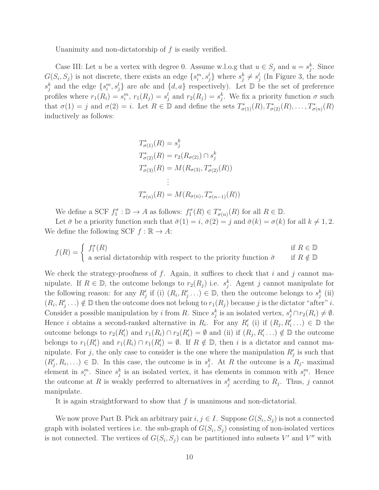Unanimity and non-dictatorship of *f* is easily verified.

Case III: Let *u* be a vertex with degree 0. Assume w.l.o.g that  $u \in S_j$  and  $u = s_j^k$ . Since  $G(S_i, S_j)$  is not discrete, there exists an edge  $\{s_i^m, s_j^l\}$  where  $s_j^k \neq s_j^l$  (In Figure 3, the node  $s_j^k$  and the edge  $\{s_i^m, s_j^l\}$  are *abc* and  $\{d, a\}$  respectively). Let D be the set of preference profiles where  $r_1(R_i) = s_i^m$ ,  $r_1(R_j) = s_j^l$  and  $r_2(R_j) = s_j^k$ . We fix a priority function  $\sigma$  such that  $\sigma(1) = j$  and  $\sigma(2) = i$ . Let  $R \in \mathbb{D}$  and define the sets  $T^*_{\sigma(1)}(R), T^*_{\sigma(2)}(R), \ldots, T^*_{\sigma(n)}(R)$ inductively as follows:

$$
T_{\sigma(1)}^*(R) = s_j^k
$$
  
\n
$$
T_{\sigma(2)}^*(R) = r_2(R_{\sigma(2)}) \cap s_j^k
$$
  
\n
$$
T_{\sigma(3)}^*(R) = M(R_{\sigma(3)}, T_{\sigma(2)}^*(R))
$$
  
\n
$$
\vdots
$$
  
\n
$$
T_{\sigma(n)}^*(R) = M(R_{\sigma(n)}, T_{\sigma(n-1)}^*(R))
$$

We define a SCF  $f_1^{\sigma}$ :  $\mathbb{D} \to A$  as follows:  $f_1^{\sigma}(R) \in T^*_{\sigma}$  $\sigma_{\sigma(n)}^*(R)$  for all  $R \in \mathbb{D}$ .

Let  $\bar{\sigma}$  be a priority function such that  $\bar{\sigma}(1) = i$ ,  $\bar{\sigma}(2) = j$  and  $\bar{\sigma}(k) = \sigma(k)$  for all  $k \neq 1, 2$ . We define the following SCF  $f : \mathbb{R} \to A$ :

$$
f(R) = \begin{cases} f_1^{\sigma}(R) & \text{if } R \in \mathbb{D} \\ \text{a serial dictatorship with respect to the priority function } \bar{\sigma} & \text{if } R \notin \mathbb{D} \end{cases}
$$

We check the strategy-proofness of *f*. Again, it suffices to check that *i* and *j* cannot manipulate. If  $R \in \mathbb{D}$ , the outcome belongs to  $r_2(R_j)$  i.e.  $s_j^k$ . Agent *j* cannot manipulate for the following reason: for any  $R'_j$  if (i)  $(R_i, R'_j, \ldots) \in \mathbb{D}$ , then the outcome belongs to  $s_j^k$  (ii)  $(R_i, R'_j, \ldots) \notin \mathbb{D}$  then the outcome does not belong to  $r_1(R_j)$  because *j* is the dictator "after" *i*. Consider a possible manipulation by *i* from *R*. Since  $s_j^k$  is an isolated vertex,  $s_j^k \cap r_2(R_i) \neq \emptyset$ . Hence *i* obtains a second-ranked alternative in  $R_i$ . For any  $R'_i$  (i) if  $(R_j, R'_i, \ldots) \in \mathbb{D}$  the outcome belongs to  $r_2(R'_i)$  and  $r_1(R_i) \cap r_2(R'_i) = \emptyset$  and (ii) if  $(R_j, R'_i \dots) \notin \mathbb{D}$  the outcome belongs to  $r_1(R'_i)$  and  $r_1(R_i) \cap r_1(R'_i) = \emptyset$ . If  $R \notin \mathbb{D}$ , then *i* is a dictator and cannot manipulate. For *j*, the only case to consider is the one where the manipulation  $R'_{j}$  is such that  $(R'_j, R_i, \ldots) \in \mathbb{D}$ . In this case, the outcome is in  $s_j^k$ . At *R* the outcome is a  $R_j$ - maximal element in  $s_i^m$ . Since  $s_j^k$  is an isolated vertex, it has elements in common with  $s_i^m$ . Hence the outcome at *R* is weakly preferred to alternatives in  $s_j^k$  accrding to  $R_j$ . Thus, *j* cannot manipulate.

It is again straightforward to show that *f* is unanimous and non-dictatorial.

We now prove Part B. Pick an arbitrary pair  $i, j \in I$ . Suppose  $G(S_i, S_j)$  is not a connected graph with isolated vertices i.e. the sub-graph of  $G(S_i, S_j)$  consisting of non-isolated vertices is not connected. The vertices of  $G(S_i, S_j)$  can be partitioned into subsets  $V'$  and  $V''$  with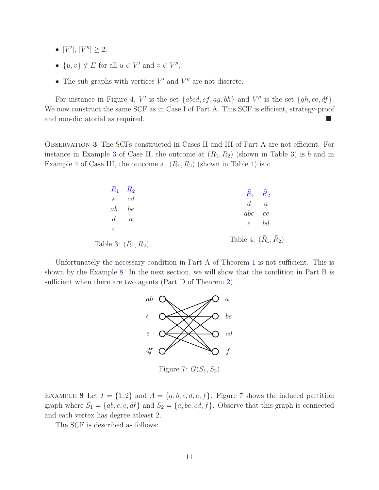- $|V'|, |V''| \ge 2.$
- $\{u, v\} \notin E$  for all  $u \in V'$  and  $v \in V''$ .
- The sub-graphs with vertices  $V'$  and  $V''$  are not discrete.

For instance in Figure 4, V' is the set  $\{abcd,ef,ag,bh\}$  and V'' is the set  $\{gh, ce, df\}$ . We now construct the same SCF as in Case I of Part A. This SCF is efficient, strategy-proof and non-dictatorial as required.

Observation **3** The SCFs constructed in Cases II and III of Part A are not efficient. For instance in Example 3 of Case II, the outcome at  $(R_1, R_2)$  (shown in Table 3) is *b* and in Example 4 of Case III, the outcome at  $(\bar{R}_1, \bar{R}_2)$  (shown in Table 4) is *c*.

| $R_1$ $R_2$           | $R_1$ $R_2$                       |
|-----------------------|-----------------------------------|
| $e$ $cd$              | $d \quad a$                       |
| ab be                 | $abc$ ce                          |
| $d \quad a$           | $e$ bd                            |
| $\mathcal{C}$         |                                   |
| Table 3: $(R_1, R_2)$ | Table 4: $(\bar{R}_1, \bar{R}_2)$ |

Unfortunately the necessary condition in Part A of Theorem 1 is not sufficient. This is shown by the Example 8. In the next section, we will show that the condition in Part B is sufficient when there are two agents (Part D of Theorem 2).



EXAMPLE 8 Let  $I = \{1, 2\}$  and  $A = \{a, b, c, d, e, f\}$ . Figure 7 shows the induced partition graph where  $S_1 = \{ab, c, e, df\}$  and  $S_2 = \{a, be, cd, f\}$ . Observe that this graph is connected and each vertex has degree atleast 2.

The SCF is described as follows: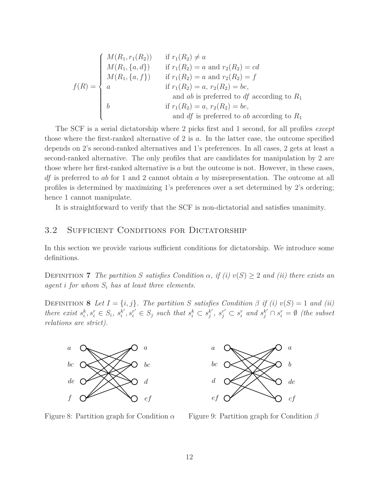$$
f(R) = \begin{cases} M(R_1, r_1(R_2)) & \text{if } r_1(R_2) \neq a \\ M(R_1, \{a, d\}) & \text{if } r_1(R_2) = a \text{ and } r_2(R_2) = cd \\ M(R_1, \{a, f\}) & \text{if } r_1(R_2) = a \text{ and } r_2(R_2) = f \\ a & \text{if } r_1(R_2) = a, r_2(R_2) = be, \\ a & \text{and } ab \text{ is preferred to } df \text{ according to } R_1 \\ b & \text{if } r_1(R_2) = a, r_2(R_2) = be, \\ a & \text{and } df \text{ is preferred to } ab \text{ according to } R_1 \end{cases}
$$

The SCF is a serial dictatorship where 2 picks first and 1 second, for all profiles *except* those where the first-ranked alternative of 2 is *a*. In the latter case, the outcome specified depends on 2's second-ranked alternatives and 1's preferences. In all cases, 2 gets at least a second-ranked alternative. The only profiles that are candidates for manipulation by 2 are those where her first-ranked alternative is *a* but the outcome is not. However, in these cases, *df* is preferred to *ab* for 1 and 2 cannot obtain *a* by misrepresentation. The outcome at all profiles is determined by maximizing 1's preferences over a set determined by 2's ordering; hence 1 cannot manipulate.

It is straightforward to verify that the SCF is non-dictatorial and satisfies unanimity.

#### 3.2 SUFFICIENT CONDITIONS FOR DICTATORSHIP

In this section we provide various sufficient conditions for dictatorship. We introduce some definitions.

DEFINITION **7** *The partition S satisfies Condition*  $\alpha$ , *if (i)*  $v(S) \geq 2$  *and (ii) there exists an agent i for whom S<sup>i</sup> has at least three elements.*

DEFINITION **8** *Let*  $I = \{i, j\}$ *. The partition S satisfies Condition*  $\beta$  *if (i)*  $v(S) = 1$  *and (ii) there exist*  $s_i^k, s_i^r \in S_i$ ,  $s_i^{k'}$  $s_i^{k'}, s_i^{r'} \in S_j$  *such that*  $s_i^k \subset s_j^{k'}$  $s_j^r$ ,  $s_j^{r'} \subset s_i^r$  and  $s_j^{k'} \cap s_i^r = \emptyset$  (the subset *relations are strict).*





Figure 8: Partition graph for Condition *α*

Figure 9: Partition graph for Condition *β*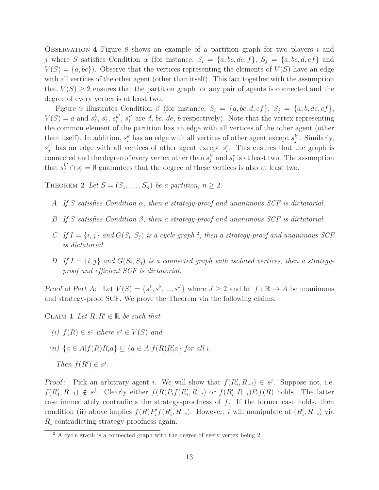Observation **4** Figure 8 shows an example of a partition graph for two players *i* and *j* where *S* satisfies Condition *α* (for instance,  $S_i = \{a, bc, de, f\}$ ,  $S_j = \{a, bc, d, ef\}$  and  $V(S) = \{a, bc\}$ . Observe that the vertices representing the elements of  $V(S)$  have an edge with all vertices of the other agent (other than itself). This fact together with the assumption that  $V(S) \geq 2$  ensures that the partition graph for any pair of agents is connected and the degree of every vertex is at least two.

Figure 9 illustrates Condition  $\beta$  (for instance,  $S_i = \{a, bc, d, ef\}$ ,  $S_j = \{a, b, de, cf\}$ ,  $V(S) = a$  and  $s_i^k$ ,  $s_i^r$ ,  $s_i^{k'}$  $\binom{k'}{i}, s_i^{r'}$  $i<sup>r</sup>$  are *d*, *bc*, *de*, *b* respectively). Note that the vertex representing the common element of the partition has an edge with all vertices of the other agent (other than itself). In addition,  $s_i^k$  has an edge with all vertices of other agent except  $s_j^{k'}$  $j'$ . Similarly,  $s_i^{r'}$  has an edge with all vertices of other agent except  $s_i^r$ . This ensures that the graph is connected and the degree of every vertex other than  $s_i^{k'}$  $s_i^r$  and  $s_i^r$  is at least two. The assumption that  $s_j^{k'} \cap s_i^r = \emptyset$  guarantees that the degree of these vertices is also at least two.

THEOREM 2 Let  $S = (S_1, \ldots, S_n)$  be a partition,  $n \geq 2$ .

- *A. If S satisfies Condition α, then a strategy-proof and unanimous SCF is dictatorial.*
- *B. If S satisfies Condition β, then a strategy-proof and unanimous SCF is dictatorial.*
- *C.* If  $I = \{i, j\}$  and  $G(S_i, S_j)$  is a cycle graph<sup>2</sup>, then a strategy-proof and unanimous SCF *is dictatorial.*
- *D.* If  $I = \{i, j\}$  and  $G(S_i, S_j)$  is a connected graph with isolated vertices, then a strategy*proof and efficient SCF is dictatorial.*

Proof of Part A: Let  $V(S) = \{s^1, s^2, ..., s^J\}$  where  $J \geq 2$  and let  $f : \mathbb{R} \to A$  be unanimous and strategy-proof SCF. We prove the Theorem via the following claims.

CLAIM 1 Let  $R, R' \in \mathbb{R}$  be such that

- *(i) f*(*R*) ∈ *s*<sup>*j*</sup> *where s*<sup>*j*</sup> ∈ *V*(*S*) *and*
- *(ii)*  ${a \in A | f(R)R_i a}$  ⊆  ${a \in A | f(R)R'_i a}$  *for all i.*

Proof: Pick an arbitrary agent *i*. We will show that  $f(R'_i, R_{-i}) \in s^j$ . Suppose not, i.e.  $f(R'_1, R_{-1}) \notin s^j$ . Clearly either  $f(R)P_i f(R'_i, R_{-i})$  or  $f(R'_i, R_{-i})P_i f(R)$  holds. The latter case immediately contradicts the strategy-proofness of *f*. If the former case holds, then condition (ii) above implies  $f(R)P'_i$  $f'(R'_i, R_{-i})$ . However, *i* will manipulate at  $(R'_i, R_{-i})$  via *R<sup>i</sup>* contradicting strategy-proofness again.

*Then*  $f(R') \in s^j$ .

 $\frac{2}{7}$  A cycle graph is a connected graph with the degree of every vertex being 2.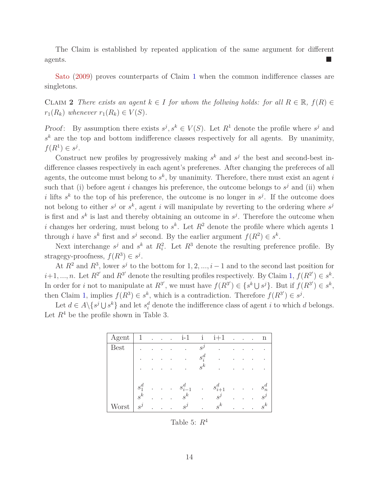The Claim is established by repeated application of the same argument for different agents.

Sato (2009) proves counterparts of Claim 1 when the common indifference classes are singletons.

CLAIM 2 *There exists an agent*  $k \in I$  *for whom the follwing holds: for all*  $R \in \mathbb{R}$ ,  $f(R) \in$  $r_1(R_k)$  *whenever*  $r_1(R_k) \in V(S)$ *.* 

*Proof*: By assumption there exists  $s^j, s^k \in V(S)$ . Let  $R^1$  denote the profile where  $s^j$  and  $s<sup>k</sup>$  are the top and bottom indifference classes respectively for all agents. By unanimity,  $f(R^1) \in s^j$ .

Construct new profiles by progressively making  $s^k$  and  $s^j$  the best and second-best indifference classes respectively in each agent's preferenes. After changing the prefereces of all agents, the outcome must belong to  $s^k$ , by unanimity. Therefore, there must exist an agent  $i$ such that (i) before agent *i* changes his preference, the outcome belongs to  $s^j$  and (ii) when *i* lifts  $s^k$  to the top of his preference, the outcome is no longer in  $s^j$ . If the outcome does not belong to either  $s^j$  or  $s^k$ , agent *i* will manipulate by reverting to the ordering where  $s^j$ is first and  $s^k$  is last and thereby obtaining an outcome in  $s^j$ . Therefore the outcome when *i* changes her ordering, must belong to  $s^k$ . Let  $R^2$  denote the profile where which agents 1 through *i* have  $s^k$  first and  $s^j$  second. By the earlier argument  $f(R^2) \in s^k$ .

Next interchange  $s^j$  and  $s^k$  at  $R_i^2$ . Let  $R^3$  denote the resulting preference profile. By stragegy-proofness,  $f(R^3) \in s^j$ .

At  $R^2$  and  $R^3$ , lower  $s^j$  to the bottom for 1, 2, ..., i – 1 and to the second last position for  $i+1, ..., n$ . Let  $R^{2'}$  and  $R^{3'}$  denote the resulting profiles respectively. By Claim 1,  $f(R^{2'}) \in s^k$ . In order for *i* not to manipulate at  $R^{3'}$ , we must have  $f(R^{3'}) \in \{s^k \cup s^j\}$ . But if  $f(R^{3'}) \in s^k$ , then Claim 1, implies  $f(R^3) \in s^k$ , which is a contradiction. Therefore  $f(R^{3'}) \in s^j$ .

Let  $d \in A \setminus \{s^j \cup s^k\}$  and let  $s_i^d$  denote the indifference class of agent *i* to which *d* belongs. Let  $R<sup>4</sup>$  be the profile shown in Table 3.

| Agent       | 1                    |           | ٠                    | $\sim$    | $i-1$       | $\mathbf{i}$         | $i+1$       |           | $\bullet$ | $\mathbf n$ |
|-------------|----------------------|-----------|----------------------|-----------|-------------|----------------------|-------------|-----------|-----------|-------------|
| <b>Best</b> | ٠                    |           |                      |           | ٠           | $s^j$                | ٠           |           |           | ٠           |
|             | ٠                    |           |                      |           | ٠           | $s_i^d$              | ٠           |           |           | ٠           |
|             | ٠                    |           |                      |           | ٠           | $s^k$                | ٠           |           |           |             |
|             |                      |           |                      |           |             |                      |             |           |           |             |
|             | $\boldsymbol{s}_1^d$ | $\bullet$ | $\ddot{\phantom{0}}$ | $\bullet$ | $s_{i-1}^d$ | $\ddot{\phantom{0}}$ | $s_{i+1}^d$ | $\bullet$ | ٠         | $s_n^d$     |
|             | $s^k$                |           |                      | ٠         | $s^k$       | $\sim$               | $s^j$       |           |           | $s^j$       |
| Worst       | $s^j$                |           |                      | ٠         | $s^j$       |                      | $s^k$       |           |           | $s^k$       |

Table 5: *R*<sup>4</sup>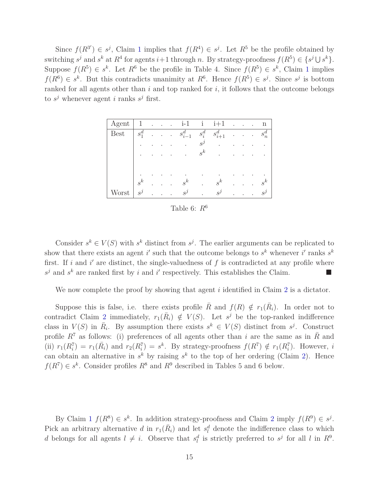Since  $f(R^{3'}) \in s^j$ , Claim 1 implies that  $f(R^4) \in s^j$ . Let  $R^5$  be the profile obtained by switching  $s^j$  and  $s^k$  at  $R^4$  for agents  $i+1$  through *n*. By strategy-proofness  $f(R^5) \in \{s^j \cup s^k\}$ . Suppose  $f(R^5) \in s^k$ . Let  $R^6$  be the profile in Table 4. Since  $f(R^5) \in s^k$ , Claim 1 implies  $f(R^6) \in s^k$ . But this contradicts unanimity at  $R^6$ . Hence  $f(R^5) \in s^j$ . Since  $s^j$  is bottom ranked for all agents other than *i* and top ranked for *i*, it follows that the outcome belongs to  $s^j$  whenever agent *i* ranks  $s^j$  first.

| Agent       |         | ٠ | $\ddot{\phantom{a}}$ | $i-1$             | $\mathbf{i}$ | $i+1$       | $\ddot{\phantom{0}}$ | ٠ | ٠ | n            |
|-------------|---------|---|----------------------|-------------------|--------------|-------------|----------------------|---|---|--------------|
| <b>Best</b> | $s_1^d$ | ٠ | $\bullet$            | $s_{i-1}^d$       | $s_i^d$      | $s_{i+1}^d$ |                      |   |   | $s_n^d$      |
|             |         |   |                      |                   | $s^j$        | ٠           |                      |   |   |              |
|             |         |   |                      |                   | $s^k$        | ٠           |                      |   |   |              |
|             |         |   |                      |                   |              |             |                      |   |   |              |
|             |         |   |                      |                   | ٠            |             |                      |   |   |              |
|             | $s^k$   |   |                      | $s^k$             |              | $s^k$       |                      |   |   | $s^{\kappa}$ |
| Worst       | $s^j$   |   |                      | $S^{\mathcal{J}}$ | $\bullet$    | $s^j$       |                      |   |   | $s^j$        |

Table 6:  $R^6$ 

Consider  $s^k \in V(S)$  with  $s^k$  distinct from  $s^j$ . The earlier arguments can be replicated to show that there exists an agent *i*' such that the outcome belongs to  $s^k$  whenever *i*' ranks  $s^k$ first. If  $i$  and  $i'$  are distinct, the single-valuedness of  $f$  is contradicted at any profile where  $s^j$  and  $s^k$  are ranked first by *i* and *i*' respectively. This establishes the Claim.

We now complete the proof by showing that agent *i* identified in Claim 2 is a dictator.

Suppose this is false, i.e. there exists profile  $\overline{R}$  and  $f(R) \notin r_1(\overline{R}_i)$ . In order not to contradict Claim 2 immediately,  $r_1(\bar{R}_i) \notin V(S)$ . Let  $s^j$  be the top-ranked indifference class in  $V(S)$  in  $\overline{R}_i$ . By assumption there exists  $s^k \in V(S)$  distinct from  $s^j$ . Construct profile  $R^7$  as follows: (i) preferences of all agents other than *i* are the same as in  $\overline{R}$  and (ii)  $r_1(R_i^7) = r_1(\bar{R}_i)$  and  $r_2(R_i^7) = s^k$ . By strategy-proofness  $f(R^7) \notin r_1(R_i^7)$ . However, i can obtain an alternative in  $s^k$  by raising  $s^k$  to the top of her ordering (Claim 2). Hence  $f(R^7) \in s^k$ . Consider profiles  $R^8$  and  $R^9$  described in Tables 5 and 6 below.

By Claim 1  $f(R^8) \in s^k$ . In addition strategy-proofness and Claim 2 imply  $f(R^9) \in s^j$ . Pick an arbitrary alternative *d* in  $r_1(\bar{R}_i)$  and let  $s_l^d$  denote the indifference class to which *d* belongs for all agents  $l \neq i$ . Observe that  $s_l^d$  is strictly preferred to  $s^j$  for all *l* in  $R^9$ .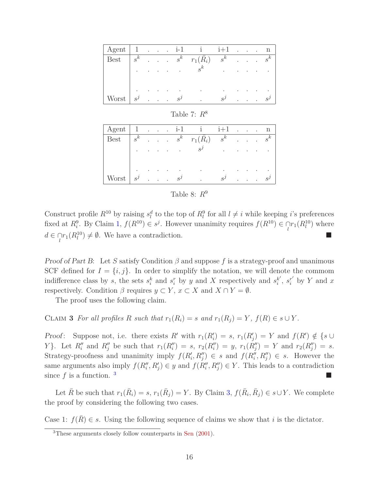| Agent       |       |   |   |   | $\cdots$ $i-1$ | $\mathbf{1}$     | $i+1$     | $\bullet$ | $\sim$ $\sim$          | $\ddot{\phantom{0}}$ | n     |
|-------------|-------|---|---|---|----------------|------------------|-----------|-----------|------------------------|----------------------|-------|
| <b>Best</b> | $s^k$ |   |   |   | $\cdots$ $s^k$ | $r_1(\bar{R}_i)$ | $s^k$     |           | $\Delta \sim 10^{-11}$ |                      | $s^k$ |
|             |       |   |   |   | $\sim$         | $s^k$            | $\bullet$ |           |                        |                      |       |
|             |       |   |   |   |                |                  |           |           |                        |                      |       |
|             |       |   |   |   | ٠              | $\bullet$        | ٠         |           |                        |                      |       |
| Worst       | $s^j$ | ٠ | ٠ | ۰ | $S^J$          | ٠                | $s^j$     |           |                        |                      |       |

Table 7: *R*<sup>8</sup>

| $\vert \text{Agent} \vert 1$ i-1 i i+1 n |         |  |  |                                                                                                                                                      |       |  |  |
|------------------------------------------|---------|--|--|------------------------------------------------------------------------------------------------------------------------------------------------------|-------|--|--|
| Best                                     |         |  |  | $\begin{array}{ l } \hline s^k & . & . & s^k & r_1(\bar R_i) & s^k & . & . & s^k \ \hline \end{array}$                                               |       |  |  |
|                                          |         |  |  | $\mathbf{s}$ and $\mathbf{s}$ and $\mathbf{s}$ and $\mathbf{s}$ and $\mathbf{s}$ and $\mathbf{s}$ and $\mathbf{s}$ and $\mathbf{s}$ and $\mathbf{s}$ |       |  |  |
|                                          |         |  |  |                                                                                                                                                      |       |  |  |
|                                          | $\cdot$ |  |  | and the state of the state                                                                                                                           |       |  |  |
| Worst $s^j$ $s^j$                        |         |  |  |                                                                                                                                                      | $s^j$ |  |  |

| Table 8: $R^9$ |
|----------------|
|----------------|

Construct profile  $R^{10}$  by raising  $s_l^d$  to the top of  $R_l^9$  for all  $l \neq i$  while keeping *i*'s preferences fixed at  $R_i^9$ . By Claim 1,  $f(R^{10}) \in s^j$ . However unanimity requires  $f(R^{10}) \in \bigcap_l r_1(R_l^{10})$  where  $d \in \bigcap_l r_1(R_l^{10}) \neq \emptyset$ . We have a contradiction.

Proof of Part B: Let *S* satisfy Condition *β* and suppose *f* is a strategy-proof and unanimous SCF defined for  $I = \{i, j\}$ . In order to simplify the notation, we will denote the commom indifference class by *s*, the sets  $s_i^k$  and  $s_i^r$  by *y* and *X* respectively and  $s_i^{k'}$  $i$ <sup>*k*</sup>,  $s_i^{r'}$  by *Y* and *x* respectively. Condition  $\beta$  requires  $y \subset Y$ ,  $x \subset X$  and  $X \cap Y = \emptyset$ .

The proof uses the following claim.

CLAIM **3** For all profiles R such that  $r_1(R_i) = s$  and  $r_1(R_j) = Y$ ,  $f(R) \in s \cup Y$ .

Proof: Suppose not, i.e. there exists  $R'$  with  $r_1(R'_i) = s$ ,  $r_1(R'_j) = Y$  and  $f(R') \notin \{s \cup I\}$ Y}. Let  $R''_i$  and  $R''_j$  be such that  $r_1(R''_i) = s$ ,  $r_2(R''_i) = y$ ,  $r_1(R''_j) = Y$  and  $r_2(R''_j) = s$ . Strategy-proofness and unanimity imply  $f(R'_i, R''_j) \in s$  and  $f(R''_i, R''_j) \in s$ . However the same arguments also imply  $f(R''_i, R'_j) \in y$  and  $f(R''_i, R''_j) \in Y$ . This leads to a contradiction since  $f$  is a function.<sup>3</sup>

Let  $\bar{R}$  be such that  $r_1(\bar{R}_i) = s$ ,  $r_1(\bar{R}_j) = Y$ . By Claim 3,  $f(\bar{R}_i, \bar{R}_j) \in s \cup Y$ . We complete the proof by considering the following two cases.

Case 1:  $f(\overline{R}) \in s$ . Using the following sequence of claims we show that *i* is the dictator.

<sup>3</sup>These arguments closely follow counterparts in Sen (2001).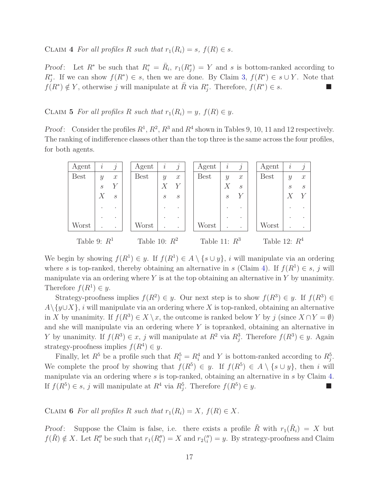CLAIM 4 For all profiles R such that  $r_1(R_i) = s$ ,  $f(R) \in s$ .

*Proof*: Let  $R^*$  be such that  $R_i^* = \overline{R}_i$ ,  $r_1(R_j^*) = Y$  and *s* is bottom-ranked according to  $R_j^*$ . If we can show  $f(R^*) \in s$ , then we are done. By Claim 3,  $f(R^*) \in s \cup Y$ . Note that  $f(R^*) \notin Y$ , otherwise *j* will manipulate at  $\overline{R}$  via  $R_j^*$ . Therefore,  $f(R^*) \in s$ .

CLAIM 5 *For all profiles R such that*  $r_1(R_i) = y$ ,  $f(R) \in y$ .

*Proof*: Consider the profiles  $R^1$ ,  $R^2$ ,  $R^3$  and  $R^4$  shown in Tables 9, 10, 11 and 12 respectively. The ranking of indifference classes other than the top three is the same across the four profiles, for both agents.

| Agent          | $\dot{i}$                   | $\dot{j}$                   |  | Agent           | $\dot{i}$         | $\dot{j}$         | Agent           | $\dot{i}$                   | Ĵ             | Agent           | $\dot{i}$         | j                 |
|----------------|-----------------------------|-----------------------------|--|-----------------|-------------------|-------------------|-----------------|-----------------------------|---------------|-----------------|-------------------|-------------------|
| <b>Best</b>    | $\mathcal{Y}$               | $\mathcal{X}$               |  | <b>Best</b>     | $\mathcal{Y}$     | $\boldsymbol{x}$  | <b>Best</b>     | $\mathcal{Y}$               | $\mathcal{X}$ | <b>Best</b>     | $\mathcal{Y}$     | $\boldsymbol{x}$  |
|                | $\mathcal{S}_{\mathcal{S}}$ | Y                           |  |                 |                   | $\boldsymbol{Y}$  |                 |                             | $\mathcal{S}$ |                 | $\mathcal{S}_{0}$ | $\mathcal{S}_{0}$ |
|                | $\boldsymbol{X}$            | $\mathcal{S}_{\mathcal{S}}$ |  |                 | $\mathcal{S}_{0}$ | $\mathcal{S}_{0}$ |                 | $\mathcal{S}_{\mathcal{S}}$ |               |                 |                   |                   |
|                |                             |                             |  |                 |                   | $\bullet$         |                 |                             |               |                 |                   |                   |
|                |                             |                             |  |                 |                   | $\cdot$           |                 |                             |               |                 |                   |                   |
| Worst          |                             |                             |  | Worst           |                   |                   | Worst           |                             |               | Worst           | $\cdot$           |                   |
| Table 9: $R^1$ |                             |                             |  | Table 10: $R^2$ |                   |                   | Table 11: $R^3$ |                             |               | Table 12: $R^4$ |                   |                   |

We begin by showing  $f(R^1) \in y$ . If  $f(R^1) \in A \setminus \{s \cup y\}$ , *i* will manipulate via an ordering where *s* is top-ranked, thereby obtaining an alternative in *s* (Claim 4). If  $f(R^1) \in s$ , *j* will manipulate via an ordering where *Y* is at the top obtaining an alternative in *Y* by unanimity. Therefore  $f(R^1) \in y$ .

Strategy-proofness implies  $f(R^2) \in y$ . Our next step is to show  $f(R^3) \in y$ . If  $f(R^3) \in$  $A\setminus \{y\cup X\}$ , *i* will manipulate via an ordering where *X* is top-ranked, obtaining an alternative in *X* by unanimity. If  $f(R^3) \in X \setminus x$ , the outcome is ranked below *Y* by *j* (since  $X \cap Y = \emptyset$ ) and she will manipulate via an ordering where *Y* is topranked, obtaining an alternative in *Y* by unanimity. If  $f(R^3) \in x$ , *j* will manipulate at  $R^2$  via  $R_j^3$ . Therefore  $f(R^3) \in y$ . Again strategy-proofness implies  $f(R^4) \in y$ .

Finally, let  $R^5$  be a profile such that  $R_i^5 = R_i^4$  and *Y* is bottom-ranked according to  $R_j^5$ . We complete the proof by showing that  $f(R^5) \in y$ . If  $f(R^5) \in A \setminus \{s \cup y\}$ , then *i* will manipulate via an ordering where *s* is top-ranked, obtaining an alternative in *s* by Claim 4. If  $f(R^5) \in s$ , *j* will manipulate at  $R^4$  via  $R^5$ . Therefore  $f(R^5) \in y$ .

CLAIM **6** *For all profiles R such that*  $r_1(R_i) = X$ *,*  $f(R) \in X$ *.* 

Proof: Suppose the Claim is false, i.e. there exists a profile  $\tilde{R}$  with  $r_1(\tilde{R}_i) = X$  but  $f(\tilde{R}) \notin X$ . Let  $R''_i$  be such that  $r_1(R''_i) = X$  and  $r_2(T''_i)$  $y_i''$  = *y*. By strategy-proofness and Claim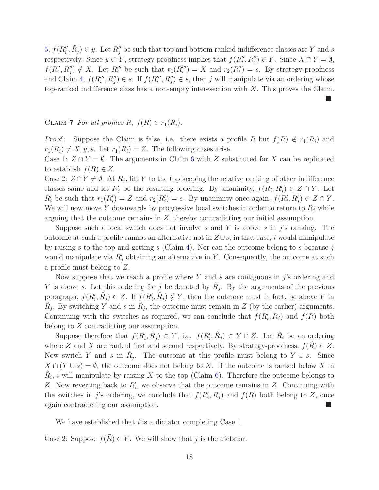5,  $f(R''_i, \tilde{R}_j) \in y$ . Let  $R''_j$  be such that top and bottom ranked indifference classes are *Y* and *s* respectively. Since  $y \subset Y$ , strategy-proofness implies that  $f(R''_i, R''_j) \in Y$ . Since  $X \cap Y = \emptyset$ ,  $f(R''_i, R''_j) \notin X$ . Let  $R'''_i$  be such that  $r_1(R'''_i) = X$  and  $r_2(R''_i) = s$ . By strategy-proofness and Claim 4,  $f(R'''_i, R''_j) \in s$ . If  $f(R'''_i, R''_j) \in s$ , then *j* will manipulate via an ordering whose top-ranked indifference class has a non-empty interesection with *X*. This proves the Claim.

**STAR** 

#### CLAIM **7** *For all profiles*  $R, f(R) \in r_1(R_i)$ .

Proof: Suppose the Claim is false, i.e. there exists a profile R but  $f(R) \notin r_1(R_i)$  and  $r_1(R_i) \neq X, y, s$ . Let  $r_1(R_i) = Z$ . The following cases arise.

Case 1:  $Z \cap Y = \emptyset$ . The arguments in Claim 6 with *Z* substituted for *X* can be replicated to establish  $f(R) \in \mathbb{Z}$ .

Case 2:  $Z \cap Y \neq \emptyset$ . At  $R_j$ , lift Y to the top keeping the relative ranking of other indifference classes same and let  $R'_j$  be the resulting ordering. By unanimity,  $f(R_i, R'_j) \in Z \cap Y$ . Let  $R'_i$  be such that  $r_1(R'_i) = Z$  and  $r_2(R'_i) = s$ . By unanimity once again,  $f(R'_i, R'_j) \in Z \cap Y$ . We will now move Y downwards by progressive local switches in order to return to  $R_j$  while arguing that the outcome remains in *Z*, thereby contradicting our initial assumption.

Suppose such a local switch does not involve *s* and *Y* is above *s* in *j*'s ranking. The outcome at such a profile cannot an alternative not in  $Z \cup s$ ; in that case, *i* would manipulate by raising *s* to the top and getting *s* (Claim 4). Nor can the outcome belong to *s* because *j* would manipulate via  $R'_{j}$  obtaining an alternative in *Y*. Consequently, the outcome at such a profile must belong to *Z*.

Now suppose that we reach a profile where *Y* and *s* are contiguous in *j*'s ordering and *Y* is above *s*. Let this ordering for *j* be denoted by  $\hat{R}_j$ . By the arguments of the previous paragraph,  $f(R'_{i}, \hat{R}_{j}) \in Z$ . If  $f(R'_{i}, \hat{R}_{j}) \notin Y$ , then the outcome must in fact, be above *Y* in  $\hat{R}_j$ . By switching *Y* and *s* in  $\hat{R}_j$ , the outcome must remain in *Z* (by the earlier) arguments. Continuing with the switches as required, we can conclude that  $f(R'_{i}, R_{j})$  and  $f(R)$  both belong to *Z* contradicting our assumption.

Suppose therefore that  $f(R'_i, \hat{R}_j) \in Y$ , i.e.  $f(R'_i, \hat{R}_j) \in Y \cap Z$ . Let  $\hat{R}_i$  be an ordering where *Z* and *X* are ranked first and second respectively. By strategy-proofness,  $f(\hat{R}) \in Z$ . Now switch *Y* and *s* in  $\hat{R}_j$ . The outcome at this profile must belong to *Y* ∪ *s*. Since  $X \cap (Y \cup s) = \emptyset$ , the outcome does not belong to *X*. If the outcome is ranked below *X* in  $\hat{R}_i$ , *i* will manipulate by raising *X* to the top (Claim 6). Therefore the outcome belongs to *Z*. Now reverting back to *R*′ *i* , we observe that the outcome remains in *Z*. Continuing with the switches in *j*'s ordering, we conclude that  $f(R'_{i}, R_{j})$  and  $f(R)$  both belong to *Z*, once again contradicting our assumption.

We have established that *i* is a dictator completing Case 1.

Case 2: Suppose  $f(R) \in Y$ . We will show that *j* is the dictator.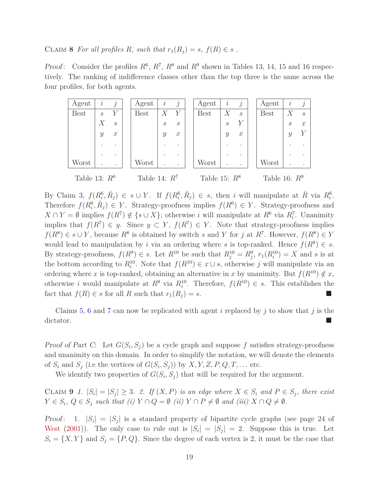CLAIM **8** *For all profiles R, such that*  $r_1(R_j) = s$ *,*  $f(R) \in s$ .

*Proof*: Consider the profiles  $R^6$ ,  $R^7$ ,  $R^8$  and  $R^9$  shown in Tables 13, 14, 15 and 16 respectively. The ranking of indifference classes other than the top three is the same across the four profiles, for both agents.

| Agent           | $\dot{\imath}$    | $\hat{J}$         | Agent           | i                 | $\overline{\jmath}$         | Agent           | $\dot{i}$         | $\iota$           | Agent           | $\dot{\imath}$    | $\dot{j}$         |
|-----------------|-------------------|-------------------|-----------------|-------------------|-----------------------------|-----------------|-------------------|-------------------|-----------------|-------------------|-------------------|
| <b>Best</b>     | $\mathcal{S}_{0}$ | $\boldsymbol{Y}$  | <b>Best</b>     | $\,X\,$           | Y                           | <b>Best</b>     | X                 | $\mathcal{S}_{0}$ | <b>Best</b>     | X                 | $\mathcal{S}_{0}$ |
|                 | X                 | $\mathcal{S}_{0}$ |                 | $\mathcal{S}_{0}$ | $\mathcal{S}_{\mathcal{S}}$ |                 | $\mathcal{S}_{0}$ |                   |                 | $\mathcal{S}_{0}$ | $\boldsymbol{x}$  |
|                 | $\mathcal{Y}$     | $\mathcal{X}$     |                 | $\mathcal{Y}$     | $\mathcal{X}$               |                 | $\mathcal{Y}$     | $\mathcal{X}$     |                 | $\boldsymbol{y}$  |                   |
|                 |                   |                   |                 |                   | $\cdot$                     |                 |                   | ٠                 |                 |                   |                   |
|                 |                   | ٠                 |                 |                   | ٠                           |                 |                   | ٠                 |                 |                   |                   |
| Worst           |                   |                   | Worst           |                   |                             | Worst           |                   |                   | Worst           |                   |                   |
| Table 13: $R^6$ |                   |                   | Table 14: $R^7$ |                   |                             | Table 15: $R^8$ |                   |                   | Table 16: $R^9$ |                   |                   |

By Claim 3,  $f(R_i^6, \overline{R}_j) \in s \cup Y$ . If  $f(R_i^6, \overline{R}_j) \in s$ , then i will manipulate at  $\overline{R}$  via  $R_i^6$ . Therefore  $f(R_i^6, \bar{R}_j) \in Y$ . Strategy-proofness implies  $f(R^6) \in Y$ . Strategy-proofness and  $X \cap Y = \emptyset$  implies  $f(R^7) \notin \{s \cup X\}$ ; otherwise *i* will manipulate at  $R^6$  via  $R_i^7$ . Unanimity implies that  $f(R^7) \in y$ . Since  $y \subset Y$ ,  $f(R^7) \in Y$ . Note that strategy-proofness implies *f*(*R*<sup>8</sup>) ∈ *s* ∪ *Y*, because *R*<sup>8</sup> is obtained by switch *s* and *Y* for *j* at *R*<sup>7</sup>. However, *f*(*R*<sup>8</sup>) ∈ *Y* would lead to manipulation by *i* via an ordering where *s* is top-ranked. Hence  $f(R^8) \in s$ . By strategy-proofness,  $f(R^9) \in s$ . Let  $R^{10}$  be such that  $R_j^{10} = R_j^9$ ,  $r_1(R_i^{10}) = X$  and *s* is at the bottom according to  $R_i^{10}$ . Note that  $f(R^{10}) \in x \cup s$ , otherwise *j* will manipulate via an ordering where *x* is top-ranked, obtaining an alternative in *x* by unanimity. But  $f(R^{10}) \notin x$ , otherwise *i* would manipulate at  $R^9$  via  $R_i^{10}$ . Therefore,  $f(R^{10}) \in s$ . This establishes the fact that  $f(R) \in s$  for all  $R$  such that  $r_1(R_i) = s$ .

Claims 5, 6 and 7 can now be replicated with agent *i* replaced by *j* to show that *j* is the dictator.

Proof of Part C: Let  $G(S_i, S_j)$  be a cycle graph and suppose f satisfies strategy-proofness and unanimity on this domain. In order to simplify the notation, we will denote the elements of  $S_i$  and  $S_j$  (i.e the vertices of  $G(S_i, S_j)$ ) by  $X, Y, Z, P, Q, T, \ldots$  etc.

We identify two properties of  $G(S_i, S_j)$  that will be required for the argument.

CLAIM 9 1.  $|S_i| = |S_j| \geq 3$ . 2. If  $(X, P)$  is an edge where  $X \in S_i$  and  $P \in S_j$ , there exist  $Y \in S_i$ ,  $Q \in S_j$  *such that (i)*  $Y \cap Q = \emptyset$  *(ii)*  $Y \cap P \neq \emptyset$  *and (iii)*  $X \cap Q \neq \emptyset$ *.* 

Proof: 1.  $|S_i| = |S_j|$  is a standard property of bipartite cycle graphs (see page 24 of West  $(2001)$ . The only case to rule out is  $|S_i| = |S_j| = 2$ . Suppose this is true. Let  $S_i = \{X, Y\}$  and  $S_j = \{P, Q\}$ . Since the degree of each vertex is 2, it must be the case that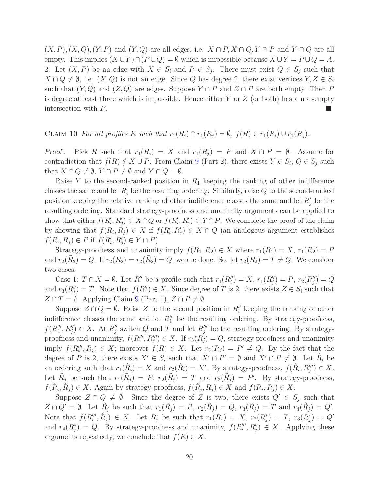$(X, P), (X, Q), (Y, P)$  and  $(Y, Q)$  are all edges, i.e.  $X \cap P, X \cap Q, Y \cap P$  and  $Y \cap Q$  are all empty. This implies  $(X \cup Y) \cap (P \cup Q) = \emptyset$  which is impossible because  $X \cup Y = P \cup Q = A$ . 2. Let  $(X, P)$  be an edge with  $X \in S_i$  and  $P \in S_j$ . There must exist  $Q \in S_j$  such that *X* ∩ *Q*  $\neq$  Ø, i.e. (*X, Q*) is not an edge. Since *Q* has degree 2, there exist vertices *Y, Z* ∈ *S*<sup>*i*</sup> such that  $(Y, Q)$  and  $(Z, Q)$  are edges. Suppose  $Y \cap P$  and  $Z \cap P$  are both empty. Then P is degree at least three which is impossible. Hence either *Y* or *Z* (or both) has a non-empty intersection with *P*.

#### CLAIM 10 For all profiles R such that  $r_1(R_i) \cap r_1(R_i) = \emptyset$ ,  $f(R) \in r_1(R_i) \cup r_1(R_i)$ .

*Proof:* Pick *R* such that  $r_1(R_i) = X$  and  $r_1(R_j) = P$  and  $X \cap P = \emptyset$ . Assume for contradiction that  $f(R) \notin X \cup P$ . From Claim 9 (Part 2), there exists  $Y \in S_i$ ,  $Q \in S_j$  such that  $X \cap Q \neq \emptyset$ ,  $Y \cap P \neq \emptyset$  and  $Y \cap Q = \emptyset$ .

Raise *Y* to the second-ranked position in *R*<sup>1</sup> keeping the ranking of other indifference classes the same and let  $R'_{i}$  be the resulting ordering. Similarly, raise  $Q$  to the second-ranked position keeping the relative ranking of other indifference classes the same and let  $R'_{j}$  be the resulting ordering. Standard strategy-proofness and unanimity arguments can be applied to show that either  $f(R'_i, R'_j) \in X \cap Q$  or  $f(R'_i, R'_j) \in Y \cap P$ . We complete the proof of the claim by showing that  $f(R_i, R_j) \in X$  if  $f(R'_i, R'_j) \in X \cap Q$  (an analogous argument establishes *f*(*R*<sub>*i*</sub>, *R*<sub>*j*</sub>)  $\in$  *P* if *f*(*R*<sup>*i*</sup>, *R*<sup>*j*</sup>)  $\in$  *Y*  $\cap$  *P*).

Strategy-proofness and unanimity imply  $f(\bar{R}_1, \bar{R}_2) \in X$  where  $r_1(\bar{R}_1) = X$ ,  $r_1(\bar{R}_2) = P$ and  $r_2(\bar{R}_2) = Q$ . If  $r_2(R_2) = r_2(\bar{R}_2) = Q$ , we are done. So, let  $r_2(R_2) = T \neq Q$ . We consider two cases.

Case 1:  $T \cap X = \emptyset$ . Let  $R''$  be a profile such that  $r_1(R''_i) = X$ ,  $r_1(R''_j) = P$ ,  $r_2(R''_j) = Q$ and  $r_3(R''_j) = T$ . Note that  $f(R'') \in X$ . Since degree of *T* is 2, there exists  $Z \in S_i$  such that *Z* ∩ *T* =  $\emptyset$ . Applying Claim 9 (Part 1), *Z* ∩ *P*  $\neq$   $\emptyset$ .

Suppose  $Z \cap Q = \emptyset$ . Raise  $Z$  to the second position in  $R''_i$  keeping the ranking of other indifference classes the same and let  $R''_i$  be the resulting ordering. By strategy-proofness,  $f(R''_i, R''_j) \in X$ . At  $R''_j$  switch *Q* and *T* and let  $R''_j$  be the resulting ordering. By strategyproofness and unanimity,  $f(R'''_i, R'''_j) \in X$ . If  $r_3(R_j) = Q$ , strategy-proofness and unanimity imply  $f(R''_i, R_j) \in X$ ; moreover  $f(R) \in X$ . Let  $r_3(R_j) = P' \neq Q$ . By the fact that the degree of *P* is 2, there exists  $X' \in S_i$  such that  $X' \cap P' = \emptyset$  and  $X' \cap P \neq \emptyset$ . Let  $\tilde{R}_i$  be an ordering such that  $r_1(\tilde{R}_i) = X$  and  $r_2(\tilde{R}_i) = X'$ . By strategy-proofness,  $f(\tilde{R}_i, R_j''') \in X$ . Let  $\tilde{R}_j$  be such that  $r_1(\tilde{R}_j) = P$ ,  $r_2(\tilde{R}_j) = T$  and  $r_3(\tilde{R}_j) = P'$ . By strategy-proofness,  $f(\tilde{R}_i, \tilde{R}_j) \in X$ . Again by strategy-proofness,  $f(\tilde{R}_i, R_j) \in X$  and  $f(R_i, R_j) \in X$ .

Suppose  $Z \cap Q \neq \emptyset$ . Since the degree of *Z* is two, there exists  $Q' \in S_j$  such that  $Z \cap Q' = \emptyset$ . Let  $\hat{R}_j$  be such that  $r_1(\hat{R}_j) = P$ ,  $r_2(\hat{R}_j) = Q$ ,  $r_3(\hat{R}_j) = T$  and  $r_4(\hat{R}_j) = Q'$ . Note that  $f(R''_i, \hat{R}_j) \in X$ . Let  $R^*_j$  be such that  $r_1(R^*_j) = X$ ,  $r_2(R^*_j) = T$ ,  $r_3(R^*_j) = Q'$ and  $r_4(R_j^*) = Q$ . By strategy-proofness and unanimity,  $f(R_i''', R_j^*) \in X$ . Applying these arguments repeatedly, we conclude that  $f(R) \in X$ .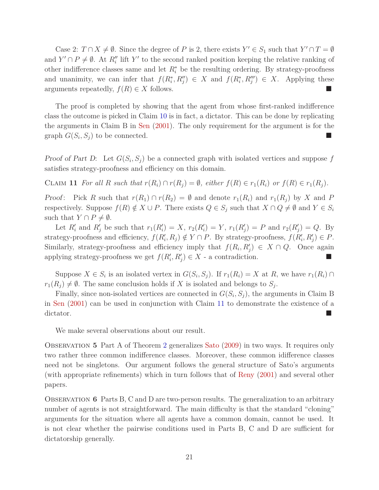Case 2:  $T \cap X \neq \emptyset$ . Since the degree of *P* is 2, there exists  $Y' \in S_1$  such that  $Y' \cap T = \emptyset$ and *Y*'  $\cap$  *P*  $\neq$   $\emptyset$ . At *R*<sup>''</sup> lift *Y*' to the second ranked position keeping the relative ranking of other indifference classes same and let  $R_i^*$  be the resulting ordering. By strategy-proofness and unanimity, we can infer that  $f(R_i^*, R_j'') \in X$  and  $f(R_i^*, R_j''') \in X$ . Applying these arguments repeatedly,  $f(R) \in X$  follows.

The proof is completed by showing that the agent from whose first-ranked indifference class the outcome is picked in Claim 10 is in fact, a dictator. This can be done by replicating the arguments in Claim B in Sen (2001). The only requirement for the argument is for the graph  $G(S_i, S_j)$  to be connected.

Proof of Part D: Let  $G(S_i, S_j)$  be a connected graph with isolated vertices and suppose f satisfies strategy-proofness and efficiency on this domain.

CLAIM 11 For all R such that  $r(R_i) \cap r(R_j) = \emptyset$ , either  $f(R) \in r_1(R_i)$  or  $f(R) \in r_1(R_i)$ .

*Proof:* Pick *R* such that  $r(R_1) \cap r(R_2) = \emptyset$  and denote  $r_1(R_i)$  and  $r_1(R_i)$  by *X* and *P* respectively. Suppose  $f(R) \notin X \cup P$ . There exists  $Q \in S_j$  such that  $X \cap Q \neq \emptyset$  and  $Y \in S_i$ such that  $Y \cap P \neq \emptyset$ .

Let  $R'_i$  and  $R'_j$  be such that  $r_1(R'_i) = X$ ,  $r_2(R'_i) = Y$ ,  $r_1(R'_j) = P$  and  $r_2(R'_j) = Q$ . By strategy-proofness and efficiency,  $f(R'_i, R_j) \notin Y \cap P$ . By strategy-proofness,  $f(R'_i, R'_j) \in P$ . Similarly, strategy-proofness and efficiency imply that  $f(R_i, R'_j) \in X \cap Q$ . Once again applying strategy-proofness we get  $f(R'_i, R'_j) \in X$  - a contradiction.

Suppose  $X \in S_i$  is an isolated vertex in  $G(S_i, S_j)$ . If  $r_1(R_i) = X$  at  $R$ , we have  $r_1(R_i) \cap$  $r_1(R_j) \neq \emptyset$ . The same conclusion holds if *X* is isolated and belongs to *S*<sup>*j*</sup>.

Finally, since non-isolated vertices are connected in  $G(S_i, S_j)$ , the arguments in Claim B in Sen (2001) can be used in conjunction with Claim 11 to demonstrate the existence of a dictator.

We make several observations about our result.

Observation **5** Part A of Theorem 2 generalizes Sato (2009) in two ways. It requires only two rather three common indifference classes. Moreover, these common idifference classes need not be singletons. Our argument follows the general structure of Sato's arguments (with appropriate refinements) which in turn follows that of Reny (2001) and several other papers.

Observation **6** Parts B, C and D are two-person results. The generalization to an arbitrary number of agents is not straightforward. The main difficulty is that the standard "cloning" arguments for the situation where all agents have a common domain, cannot be used. It is not clear whether the pairwise conditions used in Parts B, C and D are sufficient for dictatorship generally.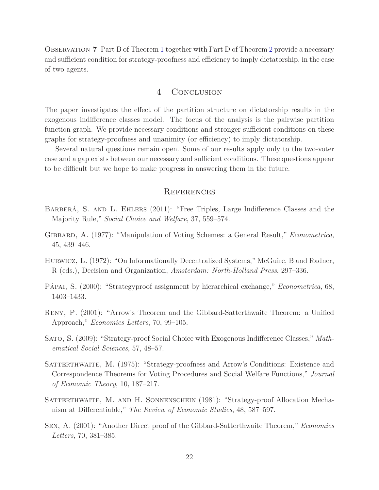Observation **7** Part B of Theorem 1 together with Part D of Theorem 2 provide a necessary and sufficient condition for strategy-proofness and efficiency to imply dictatorship, in the case of two agents.

#### 4 CONCLUSION

The paper investigates the effect of the partition structure on dictatorship results in the exogenous indifference classes model. The focus of the analysis is the pairwise partition function graph. We provide necessary conditions and stronger sufficient conditions on these graphs for strategy-proofness and unanimity (or efficiency) to imply dictatorship.

Several natural questions remain open. Some of our results apply only to the two-voter case and a gap exists between our necessary and sufficient conditions. These questions appear to be difficult but we hope to make progress in answering them in the future.

## **REFERENCES**

- Barberá, S. and L. Ehlers (2011): "Free Triples, Large Indifference Classes and the Majority Rule," *Social Choice and Welfare*, 37, 559–574.
- Gibbard, A. (1977): "Manipulation of Voting Schemes: a General Result," *Econometrica*, 45, 439–446.
- Hurwicz, L. (1972): "On Informationally Decentralized Systems," McGuire, B and Radner, R (eds.), Decision and Organization, *Amsterdam: North-Holland Press*, 297–336.
- Pápai, S. (2000): "Strategyproof assignment by hierarchical exchange," *Econometrica*, 68, 1403–1433.
- Reny, P. (2001): "Arrow's Theorem and the Gibbard-Satterthwaite Theorem: a Unified Approach," *Economics Letters*, 70, 99–105.
- Sato, S. (2009): "Strategy-proof Social Choice with Exogenous Indifference Classes," *Mathematical Social Sciences*, 57, 48–57.
- SATTERTHWAITE, M. (1975): "Strategy-proofness and Arrow's Conditions: Existence and Correspondence Theorems for Voting Procedures and Social Welfare Functions," *Journal of Economic Theory*, 10, 187–217.
- Satterthwaite, M. and H. Sonnenschein (1981): "Strategy-proof Allocation Mechanism at Differentiable," *The Review of Economic Studies*, 48, 587–597.
- Sen, A. (2001): "Another Direct proof of the Gibbard-Satterthwaite Theorem," *Economics Letters*, 70, 381–385.